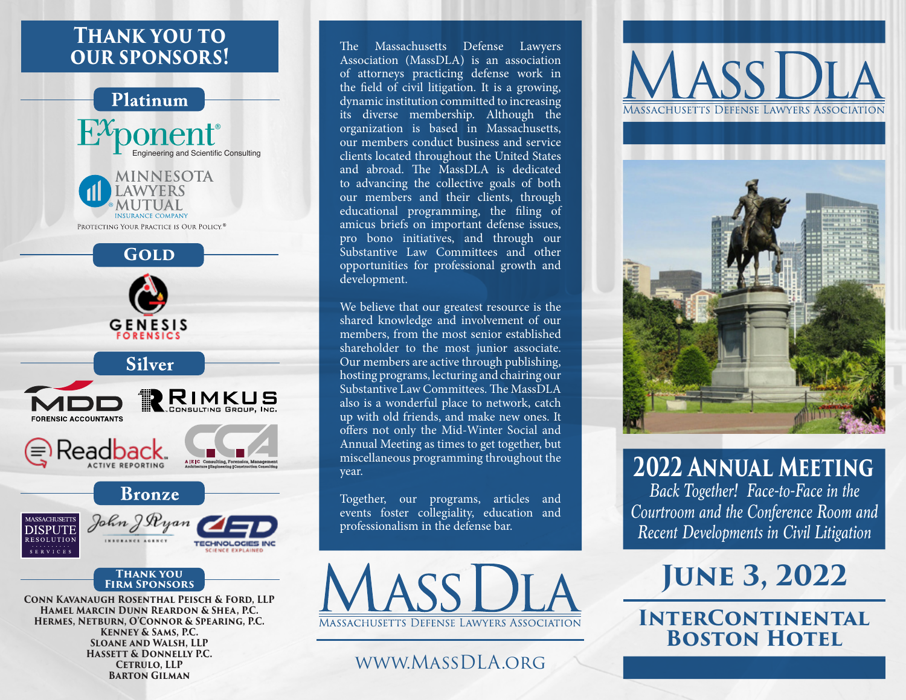## **Thank you to our sponsors!**



**Conn Kavanaugh Rosenthal Peisch & Ford, LLP Hamel Marcin Dunn Reardon & Shea, P.C. Hermes, Netburn, O'Connor & Spearing, P.C. Kenney & Sams, P.C. Sloane and Walsh, LLP Hassett & Donnelly P.C. Cetrulo, LLP Barton Gilman**

The Massachusetts Defense Lawyers Association (MassDLA) is an association of attorneys practicing defense work in the field of civil litigation. It is a growing, dynamic institution committed to increasing its diverse membership. Although the organization is based in Massachusetts, our members conduct business and service clients located throughout the United States and abroad. The MassDLA is dedicated to advancing the collective goals of both our members and their clients, through educational programming, the filing of amicus briefs on important defense issues, pro bono initiatives, and through our Substantive Law Committees and other opportunities for professional growth and development.

We believe that our greatest resource is the shared knowledge and involvement of our members, from the most senior established shareholder to the most junior associate. Our members are active through publishing, hosting programs, lecturing and chairing our Substantive Law Committees. The MassDLA also is a wonderful place to network, catch up with old friends, and make new ones. It offers not only the Mid-Winter Social and Annual Meeting as times to get together, but miscellaneous programming throughout the year.

Together, our programs, articles and events foster collegiality, education and professionalism in the defense bar.



## www.MassDLA.org





**2022 Annual Meeting** *Back Together! Face-to-Face in the Courtroom and the Conference Room and Recent Developments in Civil Litigation*

# **June 3, 2022**

**InterContinental BOSTON HOTEL**